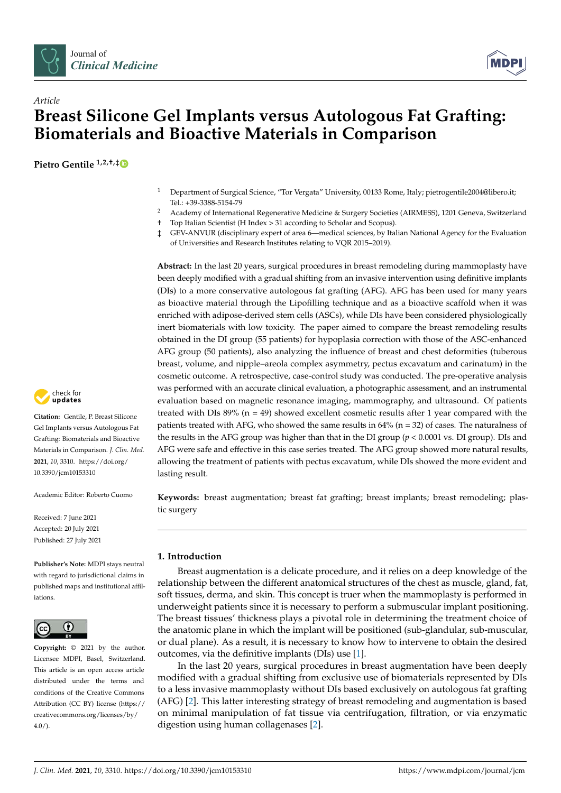



# *Article* **Breast Silicone Gel Implants versus Autologous Fat Grafting: Biomaterials and Bioactive Materials in Comparison**

**Pietro Gentile 1,2,†,[‡](https://orcid.org/0000-0003-3123-3977)**

- <sup>1</sup> Department of Surgical Science, "Tor Vergata" University, 00133 Rome, Italy; pietrogentile2004@libero.it; Tel.: +39-3388-5154-79
- <sup>2</sup> Academy of International Regenerative Medicine & Surgery Societies (AIRMESS), 1201 Geneva, Switzerland
- † Top Italian Scientist (H Index > 31 according to Scholar and Scopus).
- ‡ GEV-ANVUR (disciplinary expert of area 6—medical sciences, by Italian National Agency for the Evaluation of Universities and Research Institutes relating to VQR 2015–2019).

**Abstract:** In the last 20 years, surgical procedures in breast remodeling during mammoplasty have been deeply modified with a gradual shifting from an invasive intervention using definitive implants (DIs) to a more conservative autologous fat grafting (AFG). AFG has been used for many years as bioactive material through the Lipofilling technique and as a bioactive scaffold when it was enriched with adipose-derived stem cells (ASCs), while DIs have been considered physiologically inert biomaterials with low toxicity. The paper aimed to compare the breast remodeling results obtained in the DI group (55 patients) for hypoplasia correction with those of the ASC-enhanced AFG group (50 patients), also analyzing the influence of breast and chest deformities (tuberous breast, volume, and nipple–areola complex asymmetry, pectus excavatum and carinatum) in the cosmetic outcome. A retrospective, case-control study was conducted. The pre-operative analysis was performed with an accurate clinical evaluation, a photographic assessment, and an instrumental evaluation based on magnetic resonance imaging, mammography, and ultrasound. Of patients treated with DIs  $89\%$  (n = 49) showed excellent cosmetic results after 1 year compared with the patients treated with AFG, who showed the same results in  $64\%$  (n = 32) of cases. The naturalness of the results in the AFG group was higher than that in the DI group (*p* < 0.0001 vs. DI group). DIs and AFG were safe and effective in this case series treated. The AFG group showed more natural results, allowing the treatment of patients with pectus excavatum, while DIs showed the more evident and lasting result.

**Keywords:** breast augmentation; breast fat grafting; breast implants; breast remodeling; plastic surgery

# **1. Introduction**

Breast augmentation is a delicate procedure, and it relies on a deep knowledge of the relationship between the different anatomical structures of the chest as muscle, gland, fat, soft tissues, derma, and skin. This concept is truer when the mammoplasty is performed in underweight patients since it is necessary to perform a submuscular implant positioning. The breast tissues' thickness plays a pivotal role in determining the treatment choice of the anatomic plane in which the implant will be positioned (sub-glandular, sub-muscular, or dual plane). As a result, it is necessary to know how to intervene to obtain the desired outcomes, via the definitive implants (DIs) use [\[1\]](#page-14-0).

In the last 20 years, surgical procedures in breast augmentation have been deeply modified with a gradual shifting from exclusive use of biomaterials represented by DIs to a less invasive mammoplasty without DIs based exclusively on autologous fat grafting (AFG) [\[2\]](#page-14-1). This latter interesting strategy of breast remodeling and augmentation is based on minimal manipulation of fat tissue via centrifugation, filtration, or via enzymatic digestion using human collagenases [\[2\]](#page-14-1).



**Citation:** Gentile, P. Breast Silicone Gel Implants versus Autologous Fat Grafting: Biomaterials and Bioactive Materials in Comparison. *J. Clin. Med.* **2021**, *10*, 3310. [https://doi.org/](https://doi.org/10.3390/jcm10153310) [10.3390/jcm10153310](https://doi.org/10.3390/jcm10153310)

Academic Editor: Roberto Cuomo

Received: 7 June 2021 Accepted: 20 July 2021 Published: 27 July 2021

**Publisher's Note:** MDPI stays neutral with regard to jurisdictional claims in published maps and institutional affiliations.



**Copyright:** © 2021 by the author. Licensee MDPI, Basel, Switzerland. This article is an open access article distributed under the terms and conditions of the Creative Commons Attribution (CC BY) license (https:/[/](https://creativecommons.org/licenses/by/4.0/) [creativecommons.org/licenses/by/](https://creativecommons.org/licenses/by/4.0/)  $4.0/$ ).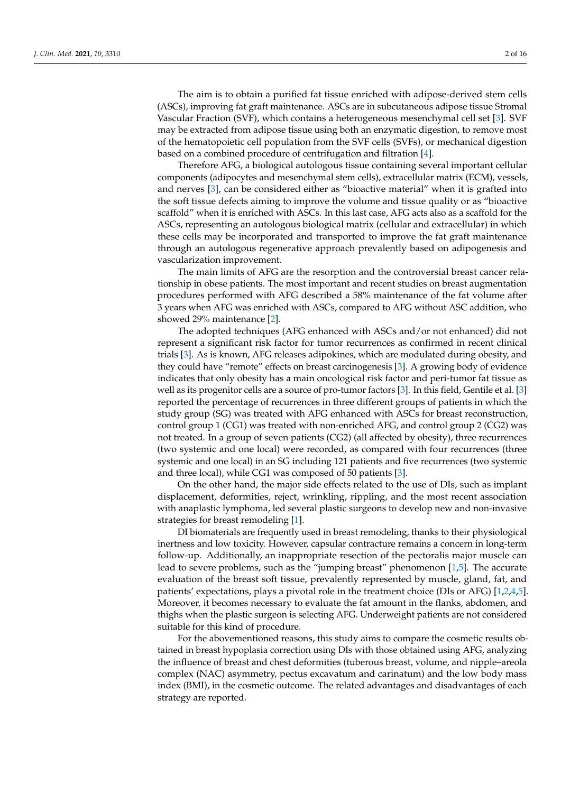The aim is to obtain a purified fat tissue enriched with adipose-derived stem cells (ASCs), improving fat graft maintenance. ASCs are in subcutaneous adipose tissue Stromal Vascular Fraction (SVF), which contains a heterogeneous mesenchymal cell set [\[3\]](#page-14-2). SVF may be extracted from adipose tissue using both an enzymatic digestion, to remove most of the hematopoietic cell population from the SVF cells (SVFs), or mechanical digestion based on a combined procedure of centrifugation and filtration [\[4\]](#page-14-3).

Therefore AFG, a biological autologous tissue containing several important cellular components (adipocytes and mesenchymal stem cells), extracellular matrix (ECM), vessels, and nerves [\[3\]](#page-14-2), can be considered either as "bioactive material" when it is grafted into the soft tissue defects aiming to improve the volume and tissue quality or as "bioactive scaffold" when it is enriched with ASCs. In this last case, AFG acts also as a scaffold for the ASCs, representing an autologous biological matrix (cellular and extracellular) in which these cells may be incorporated and transported to improve the fat graft maintenance through an autologous regenerative approach prevalently based on adipogenesis and vascularization improvement.

The main limits of AFG are the resorption and the controversial breast cancer relationship in obese patients. The most important and recent studies on breast augmentation procedures performed with AFG described a 58% maintenance of the fat volume after 3 years when AFG was enriched with ASCs, compared to AFG without ASC addition, who showed 29% maintenance [\[2\]](#page-14-1).

The adopted techniques (AFG enhanced with ASCs and/or not enhanced) did not represent a significant risk factor for tumor recurrences as confirmed in recent clinical trials [\[3\]](#page-14-2). As is known, AFG releases adipokines, which are modulated during obesity, and they could have "remote" effects on breast carcinogenesis [\[3\]](#page-14-2). A growing body of evidence indicates that only obesity has a main oncological risk factor and peri-tumor fat tissue as well as its progenitor cells are a source of pro-tumor factors [\[3\]](#page-14-2). In this field, Gentile et al. [\[3\]](#page-14-2) reported the percentage of recurrences in three different groups of patients in which the study group (SG) was treated with AFG enhanced with ASCs for breast reconstruction, control group 1 (CG1) was treated with non-enriched AFG, and control group 2 (CG2) was not treated. In a group of seven patients (CG2) (all affected by obesity), three recurrences (two systemic and one local) were recorded, as compared with four recurrences (three systemic and one local) in an SG including 121 patients and five recurrences (two systemic and three local), while CG1 was composed of 50 patients [\[3\]](#page-14-2).

On the other hand, the major side effects related to the use of DIs, such as implant displacement, deformities, reject, wrinkling, rippling, and the most recent association with anaplastic lymphoma, led several plastic surgeons to develop new and non-invasive strategies for breast remodeling [\[1\]](#page-14-0).

DI biomaterials are frequently used in breast remodeling, thanks to their physiological inertness and low toxicity. However, capsular contracture remains a concern in long-term follow-up. Additionally, an inappropriate resection of the pectoralis major muscle can lead to severe problems, such as the "jumping breast" phenomenon [\[1](#page-14-0)[,5\]](#page-14-4). The accurate evaluation of the breast soft tissue, prevalently represented by muscle, gland, fat, and patients' expectations, plays a pivotal role in the treatment choice (DIs or AFG) [\[1,](#page-14-0)[2,](#page-14-1)[4,](#page-14-3)[5\]](#page-14-4). Moreover, it becomes necessary to evaluate the fat amount in the flanks, abdomen, and thighs when the plastic surgeon is selecting AFG. Underweight patients are not considered suitable for this kind of procedure.

For the abovementioned reasons, this study aims to compare the cosmetic results obtained in breast hypoplasia correction using DIs with those obtained using AFG, analyzing the influence of breast and chest deformities (tuberous breast, volume, and nipple–areola complex (NAC) asymmetry, pectus excavatum and carinatum) and the low body mass index (BMI), in the cosmetic outcome. The related advantages and disadvantages of each strategy are reported.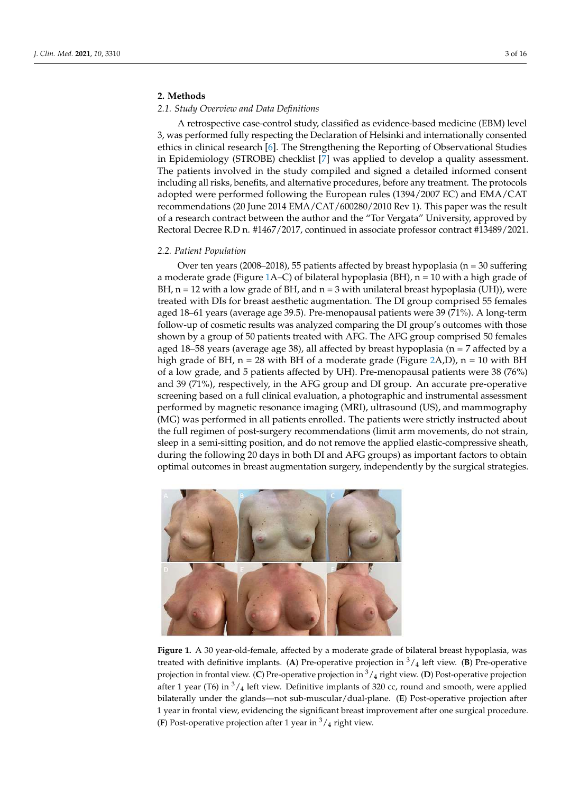# **2. Methods**

#### *2.1. Study Overview and Data Definitions*

A retrospective case-control study, classified as evidence-based medicine (EBM) level 3, was performed fully respecting the Declaration of Helsinki and internationally consented ethics in clinical research [\[6\]](#page-14-5). The Strengthening the Reporting of Observational Studies in Epidemiology (STROBE) checklist [\[7\]](#page-14-6) was applied to develop a quality assessment. The patients involved in the study compiled and signed a detailed informed consent including all risks, benefits, and alternative procedures, before any treatment. The protocols adopted were performed following the European rules (1394/2007 EC) and EMA/CAT recommendations (20 June 2014 EMA/CAT/600280/2010 Rev 1). This paper was the result of a research contract between the author and the "Tor Vergata" University, approved by Rectoral Decree R.D n. #1467/2017, continued in associate professor contract #13489/2021.

## *2.2. Patient Population*

Over ten years (2008–2018), 55 patients affected by breast hypoplasia ( $n = 30$  suffering a moderate grade (Figure [1A](#page-2-0)–C) of bilateral hypoplasia (BH),  $n = 10$  with a high grade of BH,  $n = 12$  with a low grade of BH, and  $n = 3$  with unilateral breast hypoplasia (UH)), were treated with DIs for breast aesthetic augmentation. The DI group comprised 55 females aged 18–61 years (average age 39.5). Pre-menopausal patients were 39 (71%). A long-term follow-up of cosmetic results was analyzed comparing the DI group's outcomes with those shown by a group of 50 patients treated with AFG. The AFG group comprised 50 females aged 18–58 years (average age 38), all affected by breast hypoplasia ( $n = 7$  affected by a high grade of BH,  $n = 28$  with BH of a moderate grade (Figure [2A](#page-3-0),D),  $n = 10$  with BH of a low grade, and 5 patients affected by UH). Pre-menopausal patients were 38 (76%) and 39 (71%), respectively, in the AFG group and DI group. An accurate pre-operative screening based on a full clinical evaluation, a photographic and instrumental assessment performed by magnetic resonance imaging (MRI), ultrasound (US), and mammography (MG) was performed in all patients enrolled. The patients were strictly instructed about the full regimen of post-surgery recommendations (limit arm movements, do not strain, sleep in a semi-sitting position, and do not remove the applied elastic-compressive sheath, during the following 20 days in both DI and AFG groups) as important factors to obtain optimal outcomes in breast augmentation surgery, independently by the surgical strategies.

<span id="page-2-0"></span>

**Figure 1.** A 30 year-old-female, affected by a moderate grade of bilateral breast hypoplasia, was treated with definitive implants. (A) Pre-operative projection in  $\frac{3}{4}$  left view. (B) Pre-operative projection in frontal view. (**C**) Pre-operative projection in <sup>3</sup>/<sup>4</sup> right view. (**D**) Post-operative projection after 1 year (T6) in  $3/4$  left view. Definitive implants of 320 cc, round and smooth, were applied bilaterally under the glands—not sub-muscular/dual-plane. (**E**) Post-operative projection after 1 year in frontal view, evidencing the significant breast improvement after one surgical procedure. (**F**) Post-operative projection after 1 year in  $\frac{3}{4}$  right view.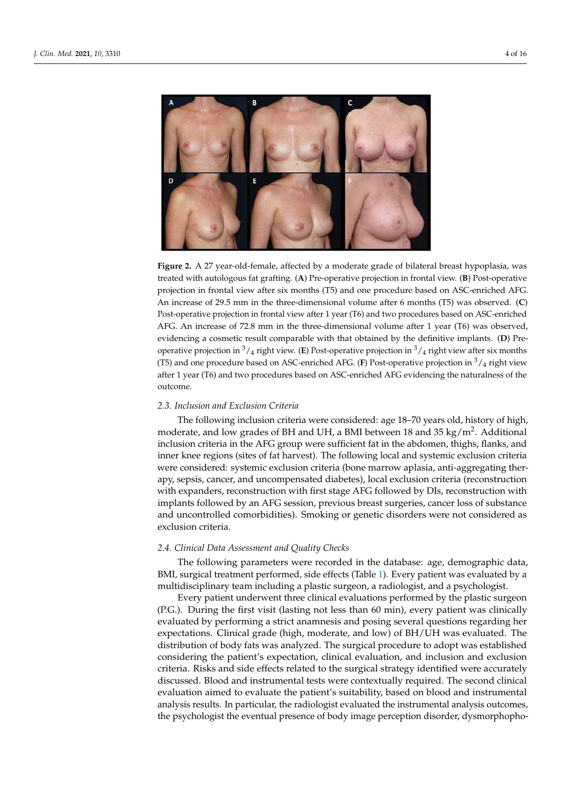<span id="page-3-0"></span>

**Figure 2.** A 27 year-old-female, affected by a moderate grade of bilateral breast hypoplasia, was treated with autologous fat grafting. (**A**) Pre-operative projection in frontal view. (**B**) Post-operative projection in frontal view after six months (T5) and one procedure based on ASC-enriched AFG. An increase of 29.5 mm in the three-dimensional volume after 6 months (T5) was observed. (**C**) Post-operative projection in frontal view after 1 year (T6) and two procedures based on ASC-enriched AFG. An increase of 72.8 mm in the three-dimensional volume after 1 year (T6) was observed, evidencing a cosmetic result comparable with that obtained by the definitive implants. (**D**) Preoperative projection in  $\frac{3}{4}$  right view. (**E**) Post-operative projection in  $\frac{3}{4}$  right view after six months (T5) and one procedure based on ASC-enriched AFG. (**F**) Post-operative projection in <sup>3</sup>/<sup>4</sup> right view after 1 year (T6) and two procedures based on ASC-enriched AFG evidencing the naturalness of the outcome.

# *2.3. Inclusion and Exclusion Criteria*

The following inclusion criteria were considered: age 18–70 years old, history of high, moderate, and low grades of BH and UH, a BMI between 18 and 35 kg/m<sup>2</sup>. Additional inclusion criteria in the AFG group were sufficient fat in the abdomen, thighs, flanks, and inner knee regions (sites of fat harvest). The following local and systemic exclusion criteria were considered: systemic exclusion criteria (bone marrow aplasia, anti-aggregating therapy, sepsis, cancer, and uncompensated diabetes), local exclusion criteria (reconstruction with expanders, reconstruction with first stage AFG followed by DIs, reconstruction with implants followed by an AFG session, previous breast surgeries, cancer loss of substance and uncontrolled comorbidities). Smoking or genetic disorders were not considered as exclusion criteria.

# *2.4. Clinical Data Assessment and Quality Checks*

The following parameters were recorded in the database: age, demographic data, BMI, surgical treatment performed, side effects (Table [1\)](#page-4-0). Every patient was evaluated by a multidisciplinary team including a plastic surgeon, a radiologist, and a psychologist.

Every patient underwent three clinical evaluations performed by the plastic surgeon (P.G.). During the first visit (lasting not less than 60 min), every patient was clinically evaluated by performing a strict anamnesis and posing several questions regarding her expectations. Clinical grade (high, moderate, and low) of BH/UH was evaluated. The distribution of body fats was analyzed. The surgical procedure to adopt was established considering the patient's expectation, clinical evaluation, and inclusion and exclusion criteria. Risks and side effects related to the surgical strategy identified were accurately discussed. Blood and instrumental tests were contextually required. The second clinical evaluation aimed to evaluate the patient's suitability, based on blood and instrumental analysis results. In particular, the radiologist evaluated the instrumental analysis outcomes, the psychologist the eventual presence of body image perception disorder, dysmorphopho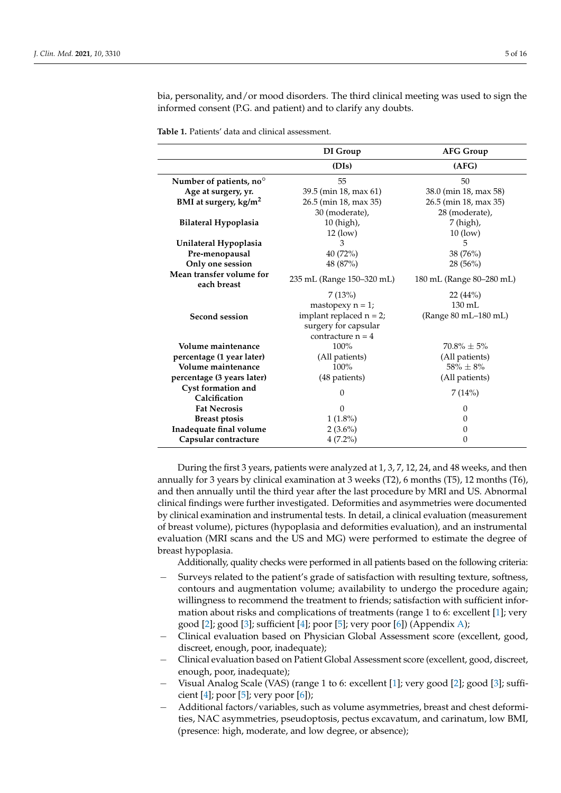bia, personality, and/or mood disorders. The third clinical meeting was used to sign the informed consent (P.G. and patient) and to clarify any doubts.

<span id="page-4-0"></span>**Table 1.** Patients' data and clinical assessment.

|                                         | DI Group                   | <b>AFG Group</b>         |
|-----------------------------------------|----------------------------|--------------------------|
|                                         | (DIs)                      | (AFG)                    |
| Number of patients, no <sup>o</sup>     | 55                         | 50                       |
| Age at surgery, yr.                     | 39.5 (min 18, max 61)      | 38.0 (min 18, max 58)    |
| BMI at surgery, kg/m <sup>2</sup>       | 26.5 (min 18, max 35)      | 26.5 (min 18, max 35)    |
|                                         | 30 (moderate),             | 28 (moderate),           |
| Bilateral Hypoplasia                    | 10 (high),                 | 7 (high),                |
|                                         | $12$ (low)                 | $10$ (low)               |
| Unilateral Hypoplasia                   | 3                          | 5                        |
| Pre-menopausal                          | $40(72\%)$                 | 38(76%)                  |
| Only one session                        | 48 (87%)                   | $28(56\%)$               |
| Mean transfer volume for<br>each breast | 235 mL (Range 150-320 mL)  | 180 mL (Range 80–280 mL) |
|                                         | 7(13%)                     | 22(44%)                  |
|                                         | mastopexy $n = 1$ ;        | $130 \text{ mL}$         |
| Second session                          | implant replaced $n = 2$ ; | (Range 80 mL-180 mL)     |
|                                         | surgery for capsular       |                          |
|                                         | contracture $n = 4$        |                          |
| Volume maintenance                      | 100%                       | $70.8\% + 5\%$           |
| percentage (1 year later)               | (All patients)             | (All patients)           |
| Volume maintenance                      | 100%                       | $58\% \pm 8\%$           |
| percentage (3 years later)              | (48 patients)              | (All patients)           |
| Cyst formation and                      | $\theta$                   | 7(14%)                   |
| Calcification                           |                            |                          |
| <b>Fat Necrosis</b>                     | $\Omega$                   | $\Omega$                 |
| <b>Breast ptosis</b>                    | $1(1.8\%)$                 | $\theta$                 |
| Inadequate final volume                 | $2(3.6\%)$                 | 0                        |
| Capsular contracture                    | $4(7.2\%)$                 | 0                        |

During the first 3 years, patients were analyzed at 1, 3, 7, 12, 24, and 48 weeks, and then annually for 3 years by clinical examination at 3 weeks (T2), 6 months (T5), 12 months (T6), and then annually until the third year after the last procedure by MRI and US. Abnormal clinical findings were further investigated. Deformities and asymmetries were documented by clinical examination and instrumental tests. In detail, a clinical evaluation (measurement of breast volume), pictures (hypoplasia and deformities evaluation), and an instrumental evaluation (MRI scans and the US and MG) were performed to estimate the degree of breast hypoplasia.

Additionally, quality checks were performed in all patients based on the following criteria:

- Surveys related to the patient's grade of satisfaction with resulting texture, softness, contours and augmentation volume; availability to undergo the procedure again; willingness to recommend the treatment to friends; satisfaction with sufficient information about risks and complications of treatments (range 1 to 6: excellent [\[1\]](#page-14-0); very good [\[2\]](#page-14-1); good [\[3\]](#page-14-2); sufficient [\[4\]](#page-14-3); poor [\[5\]](#page-14-4); very poor [\[6\]](#page-14-5)) (Appendix [A\)](#page-13-0);
- − Clinical evaluation based on Physician Global Assessment score (excellent, good, discreet, enough, poor, inadequate);
- − Clinical evaluation based on Patient Global Assessment score (excellent, good, discreet, enough, poor, inadequate);
- − Visual Analog Scale (VAS) (range 1 to 6: excellent [\[1\]](#page-14-0); very good [\[2\]](#page-14-1); good [\[3\]](#page-14-2); sufficient  $[4]$ ; poor  $[5]$ ; very poor  $[6]$ );
- − Additional factors/variables, such as volume asymmetries, breast and chest deformities, NAC asymmetries, pseudoptosis, pectus excavatum, and carinatum, low BMI, (presence: high, moderate, and low degree, or absence);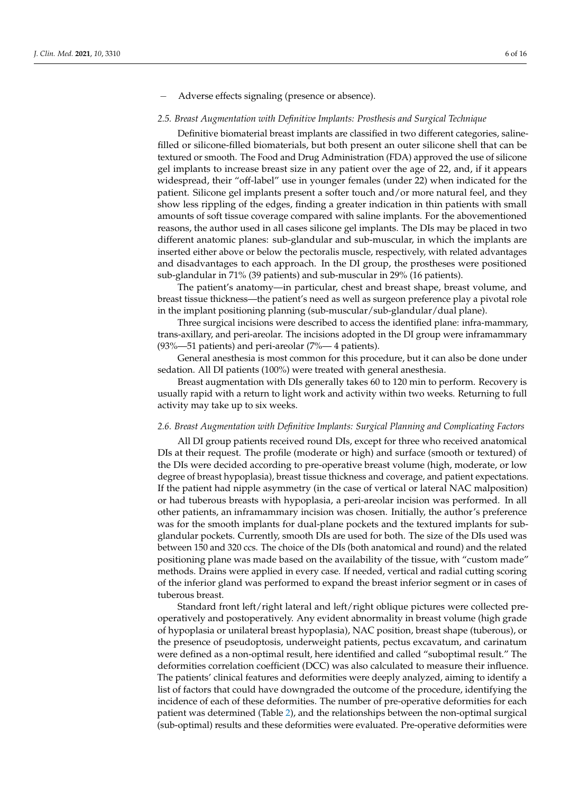− Adverse effects signaling (presence or absence).

#### *2.5. Breast Augmentation with Definitive Implants: Prosthesis and Surgical Technique*

Definitive biomaterial breast implants are classified in two different categories, salinefilled or silicone-filled biomaterials, but both present an outer silicone shell that can be textured or smooth. The Food and Drug Administration (FDA) approved the use of silicone gel implants to increase breast size in any patient over the age of 22, and, if it appears widespread, their "off-label" use in younger females (under 22) when indicated for the patient. Silicone gel implants present a softer touch and/or more natural feel, and they show less rippling of the edges, finding a greater indication in thin patients with small amounts of soft tissue coverage compared with saline implants. For the abovementioned reasons, the author used in all cases silicone gel implants. The DIs may be placed in two different anatomic planes: sub-glandular and sub-muscular, in which the implants are inserted either above or below the pectoralis muscle, respectively, with related advantages and disadvantages to each approach. In the DI group, the prostheses were positioned sub-glandular in 71% (39 patients) and sub-muscular in 29% (16 patients).

The patient's anatomy—in particular, chest and breast shape, breast volume, and breast tissue thickness—the patient's need as well as surgeon preference play a pivotal role in the implant positioning planning (sub-muscular/sub-glandular/dual plane).

Three surgical incisions were described to access the identified plane: infra-mammary, trans-axillary, and peri-areolar. The incisions adopted in the DI group were inframammary (93%—51 patients) and peri-areolar (7%— 4 patients).

General anesthesia is most common for this procedure, but it can also be done under sedation. All DI patients (100%) were treated with general anesthesia.

Breast augmentation with DIs generally takes 60 to 120 min to perform. Recovery is usually rapid with a return to light work and activity within two weeks. Returning to full activity may take up to six weeks.

#### *2.6. Breast Augmentation with Definitive Implants: Surgical Planning and Complicating Factors*

All DI group patients received round DIs, except for three who received anatomical DIs at their request. The profile (moderate or high) and surface (smooth or textured) of the DIs were decided according to pre-operative breast volume (high, moderate, or low degree of breast hypoplasia), breast tissue thickness and coverage, and patient expectations. If the patient had nipple asymmetry (in the case of vertical or lateral NAC malposition) or had tuberous breasts with hypoplasia, a peri-areolar incision was performed. In all other patients, an inframammary incision was chosen. Initially, the author's preference was for the smooth implants for dual-plane pockets and the textured implants for subglandular pockets. Currently, smooth DIs are used for both. The size of the DIs used was between 150 and 320 ccs. The choice of the DIs (both anatomical and round) and the related positioning plane was made based on the availability of the tissue, with "custom made" methods. Drains were applied in every case. If needed, vertical and radial cutting scoring of the inferior gland was performed to expand the breast inferior segment or in cases of tuberous breast.

Standard front left/right lateral and left/right oblique pictures were collected preoperatively and postoperatively. Any evident abnormality in breast volume (high grade of hypoplasia or unilateral breast hypoplasia), NAC position, breast shape (tuberous), or the presence of pseudoptosis, underweight patients, pectus excavatum, and carinatum were defined as a non-optimal result, here identified and called "suboptimal result." The deformities correlation coefficient (DCC) was also calculated to measure their influence. The patients' clinical features and deformities were deeply analyzed, aiming to identify a list of factors that could have downgraded the outcome of the procedure, identifying the incidence of each of these deformities. The number of pre-operative deformities for each patient was determined (Table [2\)](#page-6-0), and the relationships between the non-optimal surgical (sub-optimal) results and these deformities were evaluated. Pre-operative deformities were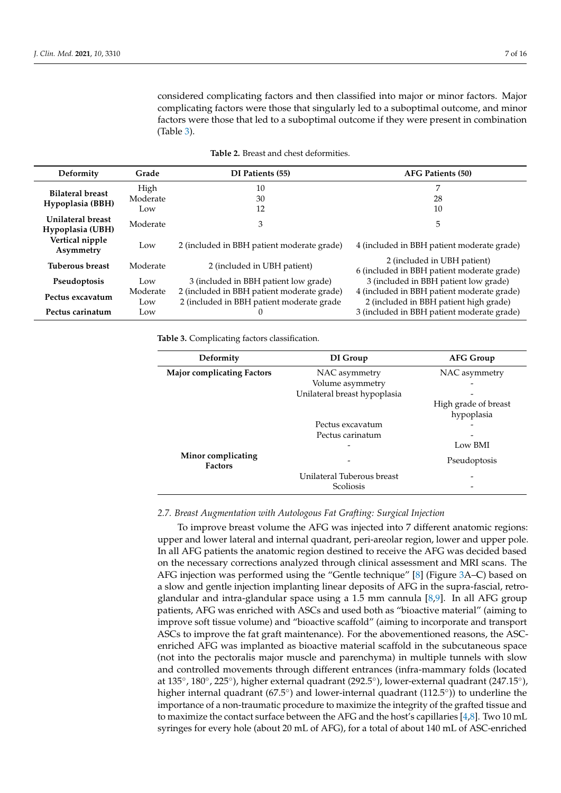considered complicating factors and then classified into major or minor factors. Major complicating factors were those that singularly led to a suboptimal outcome, and minor factors were those that led to a suboptimal outcome if they were present in combination (Table [3\)](#page-6-1).

<span id="page-6-0"></span>

| Deformity                                                                                                                      | Grade                                        | DI Patients (55)                                                                     | AFG Patients (50)                                                         |  |
|--------------------------------------------------------------------------------------------------------------------------------|----------------------------------------------|--------------------------------------------------------------------------------------|---------------------------------------------------------------------------|--|
| <b>Bilateral breast</b>                                                                                                        | High                                         | 10                                                                                   | 7                                                                         |  |
| Hypoplasia (BBH)                                                                                                               | Moderate                                     | 30                                                                                   | 28                                                                        |  |
|                                                                                                                                | Low                                          | 12                                                                                   | 10                                                                        |  |
| Unilateral breast<br>Hypoplasia (UBH)                                                                                          | Moderate                                     | 3                                                                                    | 5                                                                         |  |
| Vertical nipple<br>Asymmetry                                                                                                   | Low                                          | 2 (included in BBH patient moderate grade)                                           | 4 (included in BBH patient moderate grade)                                |  |
| <b>Tuberous breast</b>                                                                                                         | Moderate                                     | 2 (included in UBH patient)                                                          | 2 (included in UBH patient)<br>6 (included in BBH patient moderate grade) |  |
| Pseudoptosis                                                                                                                   | 3 (included in BBH patient low grade)<br>Low |                                                                                      | 3 (included in BBH patient low grade)                                     |  |
| 2 (included in BBH patient moderate grade)<br>Moderate<br>Pectus excavatum<br>2 (included in BBH patient moderate grade<br>Low |                                              | 4 (included in BBH patient moderate grade)<br>2 (included in BBH patient high grade) |                                                                           |  |
| Pectus carinatum                                                                                                               | Low                                          |                                                                                      | 3 (included in BBH patient moderate grade)                                |  |

<span id="page-6-1"></span>**Table 3.** Complicating factors classification.

| Deformity                            | DI Group                     | <b>AFG Group</b>     |
|--------------------------------------|------------------------------|----------------------|
| <b>Major complicating Factors</b>    | NAC asymmetry                | NAC asymmetry        |
|                                      | Volume asymmetry             |                      |
|                                      | Unilateral breast hypoplasia |                      |
|                                      |                              | High grade of breast |
|                                      |                              | hypoplasia           |
|                                      | Pectus excavatum             |                      |
|                                      | Pectus carinatum             |                      |
|                                      |                              | Low BMI              |
| Minor complicating<br><b>Factors</b> |                              | Pseudoptosis         |
|                                      | Unilateral Tuberous breast   |                      |
|                                      | Scoliosis                    |                      |

#### *2.7. Breast Augmentation with Autologous Fat Grafting: Surgical Injection*

To improve breast volume the AFG was injected into 7 different anatomic regions: upper and lower lateral and internal quadrant, peri-areolar region, lower and upper pole. In all AFG patients the anatomic region destined to receive the AFG was decided based on the necessary corrections analyzed through clinical assessment and MRI scans. The AFG injection was performed using the "Gentle technique" [\[8\]](#page-14-7) (Figure [3A](#page-7-0)–C) based on a slow and gentle injection implanting linear deposits of AFG in the supra-fascial, retroglandular and intra-glandular space using a 1.5 mm cannula [\[8,](#page-14-7)[9\]](#page-14-8). In all AFG group patients, AFG was enriched with ASCs and used both as "bioactive material" (aiming to improve soft tissue volume) and "bioactive scaffold" (aiming to incorporate and transport ASCs to improve the fat graft maintenance). For the abovementioned reasons, the ASCenriched AFG was implanted as bioactive material scaffold in the subcutaneous space (not into the pectoralis major muscle and parenchyma) in multiple tunnels with slow and controlled movements through different entrances (infra-mammary folds (located at 135°, 180°, 225°), higher external quadrant (292.5°), lower-external quadrant (247.15°), higher internal quadrant (67.5°) and lower-internal quadrant (112.5°)) to underline the importance of a non-traumatic procedure to maximize the integrity of the grafted tissue and to maximize the contact surface between the AFG and the host's capillaries [\[4](#page-14-3)[,8\]](#page-14-7). Two 10 mL syringes for every hole (about 20 mL of AFG), for a total of about 140 mL of ASC-enriched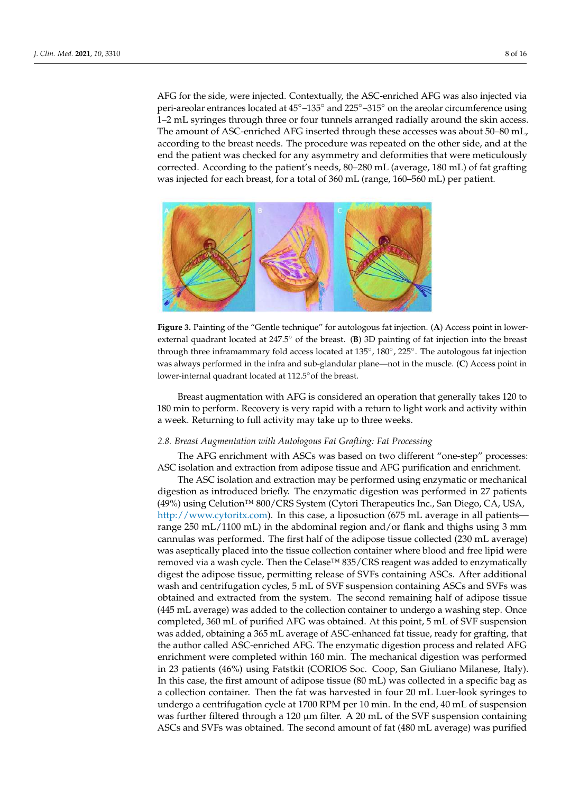AFG for the side, were injected. Contextually, the ASC-enriched AFG was also injected via peri-areolar entrances located at 45◦–135◦ and 225◦–315◦ on the areolar circumference using 1–2 mL syringes through three or four tunnels arranged radially around the skin access. The amount of ASC-enriched AFG inserted through these accesses was about 50–80 mL, according to the breast needs. The procedure was repeated on the other side, and at the end the patient was checked for any asymmetry and deformities that were meticulously corrected. According to the patient's needs, 80–280 mL (average, 180 mL) of fat grafting was injected for each breast, for a total of 360 mL (range, 160–560 mL) per patient.

<span id="page-7-0"></span>

**Figure 3.** Painting of the "Gentle technique" for autologous fat injection. (**A**) Access point in lowerexternal quadrant located at 247.5◦ of the breast. (**B**) 3D painting of fat injection into the breast through three inframammary fold access located at 135°, 180°, 225°. The autologous fat injection was always performed in the infra and sub-glandular plane—not in the muscle. (**C**) Access point in lower-internal quadrant located at 112.5◦of the breast.

Breast augmentation with AFG is considered an operation that generally takes 120 to 180 min to perform. Recovery is very rapid with a return to light work and activity within a week. Returning to full activity may take up to three weeks.

# *2.8. Breast Augmentation with Autologous Fat Grafting: Fat Processing*

The AFG enrichment with ASCs was based on two different "one-step" processes: ASC isolation and extraction from adipose tissue and AFG purification and enrichment.

The ASC isolation and extraction may be performed using enzymatic or mechanical digestion as introduced briefly. The enzymatic digestion was performed in 27 patients (49%) using Celution™ 800/CRS System (Cytori Therapeutics Inc., San Diego, CA, USA, [http://www.cytoritx.com\)](http://www.cytoritx.com). In this case, a liposuction (675 mL average in all patients range 250 mL/1100 mL) in the abdominal region and/or flank and thighs using 3 mm cannulas was performed. The first half of the adipose tissue collected (230 mL average) was aseptically placed into the tissue collection container where blood and free lipid were removed via a wash cycle. Then the Celase<sup>™</sup> 835/CRS reagent was added to enzymatically digest the adipose tissue, permitting release of SVFs containing ASCs. After additional wash and centrifugation cycles, 5 mL of SVF suspension containing ASCs and SVFs was obtained and extracted from the system. The second remaining half of adipose tissue (445 mL average) was added to the collection container to undergo a washing step. Once completed, 360 mL of purified AFG was obtained. At this point, 5 mL of SVF suspension was added, obtaining a 365 mL average of ASC-enhanced fat tissue, ready for grafting, that the author called ASC-enriched AFG. The enzymatic digestion process and related AFG enrichment were completed within 160 min. The mechanical digestion was performed in 23 patients (46%) using Fatstkit (CORIOS Soc. Coop, San Giuliano Milanese, Italy). In this case, the first amount of adipose tissue (80 mL) was collected in a specific bag as a collection container. Then the fat was harvested in four 20 mL Luer-look syringes to undergo a centrifugation cycle at 1700 RPM per 10 min. In the end, 40 mL of suspension was further filtered through a 120  $\mu$ m filter. A 20 mL of the SVF suspension containing ASCs and SVFs was obtained. The second amount of fat (480 mL average) was purified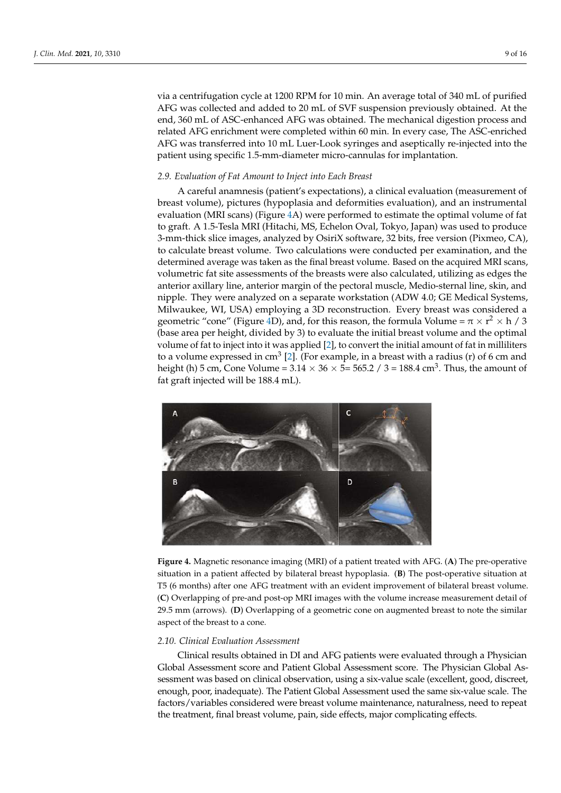via a centrifugation cycle at 1200 RPM for 10 min. An average total of 340 mL of purified AFG was collected and added to 20 mL of SVF suspension previously obtained. At the end, 360 mL of ASC-enhanced AFG was obtained. The mechanical digestion process and related AFG enrichment were completed within 60 min. In every case, The ASC-enriched AFG was transferred into 10 mL Luer-Look syringes and aseptically re-injected into the patient using specific 1.5-mm-diameter micro-cannulas for implantation.

### *2.9. Evaluation of Fat Amount to Inject into Each Breast*

A careful anamnesis (patient's expectations), a clinical evaluation (measurement of breast volume), pictures (hypoplasia and deformities evaluation), and an instrumental evaluation (MRI scans) (Figure [4A](#page-8-0)) were performed to estimate the optimal volume of fat to graft. A 1.5-Tesla MRI (Hitachi, MS, Echelon Oval, Tokyo, Japan) was used to produce 3-mm-thick slice images, analyzed by OsiriX software, 32 bits, free version (Pixmeo, CA), to calculate breast volume. Two calculations were conducted per examination, and the determined average was taken as the final breast volume. Based on the acquired MRI scans, volumetric fat site assessments of the breasts were also calculated, utilizing as edges the anterior axillary line, anterior margin of the pectoral muscle, Medio-sternal line, skin, and nipple. They were analyzed on a separate workstation (ADW 4.0; GE Medical Systems, Milwaukee, WI, USA) employing a 3D reconstruction. Every breast was considered a geometric "cone" (Figure [4D](#page-8-0)), and, for this reason, the formula Volume =  $\pi \times r^2 \times h$  / 3 (base area per height, divided by 3) to evaluate the initial breast volume and the optimal volume of fat to inject into it was applied [\[2\]](#page-14-1), to convert the initial amount of fat in milliliters to a volume expressed in cm $^3$  [\[2\]](#page-14-1). (For example, in a breast with a radius (r) of 6 cm and height (h) 5 cm, Cone Volume = 3.14  $\times$  36  $\times$  5= 565.2 / 3 = 188.4 cm $^3$ . Thus, the amount of fat graft injected will be 188.4 mL).

<span id="page-8-0"></span>

**Figure 4.** Magnetic resonance imaging (MRI) of a patient treated with AFG. (**A**) The pre-operative situation in a patient affected by bilateral breast hypoplasia. (**B**) The post-operative situation at T5 (6 months) after one AFG treatment with an evident improvement of bilateral breast volume. (**C**) Overlapping of pre-and post-op MRI images with the volume increase measurement detail of 29.5 mm (arrows). (**D**) Overlapping of a geometric cone on augmented breast to note the similar aspect of the breast to a cone.

#### *2.10. Clinical Evaluation Assessment*

Clinical results obtained in DI and AFG patients were evaluated through a Physician Global Assessment score and Patient Global Assessment score. The Physician Global Assessment was based on clinical observation, using a six-value scale (excellent, good, discreet, enough, poor, inadequate). The Patient Global Assessment used the same six-value scale. The factors/variables considered were breast volume maintenance, naturalness, need to repeat the treatment, final breast volume, pain, side effects, major complicating effects.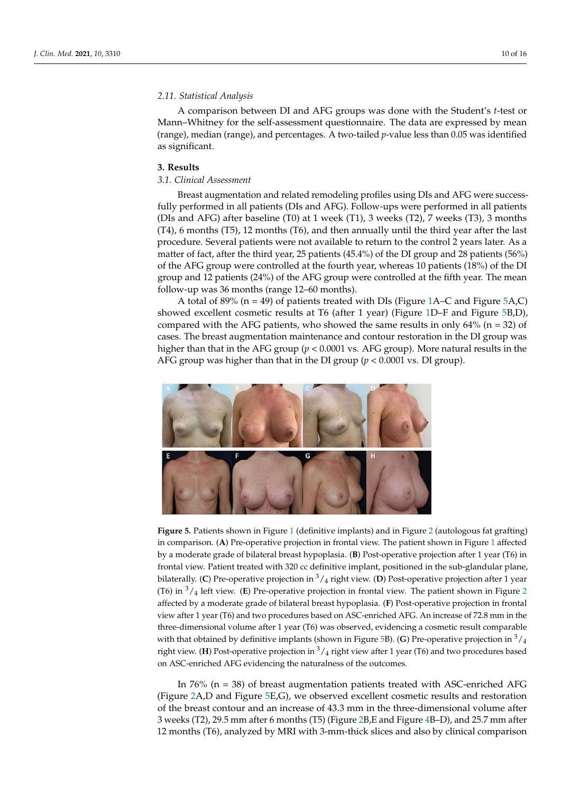# *2.11. Statistical Analysis*

A comparison between DI and AFG groups was done with the Student's *t*-test or Mann–Whitney for the self-assessment questionnaire. The data are expressed by mean (range), median (range), and percentages. A two-tailed *p*-value less than 0.05 was identified as significant.

#### **3. Results**

# *3.1. Clinical Assessment*

Breast augmentation and related remodeling profiles using DIs and AFG were successfully performed in all patients (DIs and AFG). Follow-ups were performed in all patients (DIs and AFG) after baseline (T0) at 1 week (T1), 3 weeks (T2), 7 weeks (T3), 3 months (T4), 6 months (T5), 12 months (T6), and then annually until the third year after the last procedure. Several patients were not available to return to the control 2 years later. As a matter of fact, after the third year, 25 patients (45.4%) of the DI group and 28 patients (56%) of the AFG group were controlled at the fourth year, whereas 10 patients (18%) of the DI group and 12 patients (24%) of the AFG group were controlled at the fifth year. The mean follow-up was 36 months (range 12–60 months).

A total of 89% ( $n = 49$ ) of patients treated with DIs (Figure [1A](#page-2-0)–C and Figure [5A](#page-9-0),C) showed excellent cosmetic results at T6 (after 1 year) (Figure [1D](#page-2-0)–F and Figure [5B](#page-9-0),D), compared with the AFG patients, who showed the same results in only  $64\%$  (n = 32) of cases. The breast augmentation maintenance and contour restoration in the DI group was higher than that in the AFG group (*p* < 0.0001 vs. AFG group). More natural results in the AFG group was higher than that in the DI group (*p* < 0.0001 vs. DI group).

<span id="page-9-0"></span>

**Figure 5.** Patients shown in Figure [1](#page-2-0) (definitive implants) and in Figure [2](#page-3-0) (autologous fat grafting) in comparison. (**A**) Pre-operative projection in frontal view. The patient shown in Figure [1](#page-2-0) affected by a moderate grade of bilateral breast hypoplasia. (**B**) Post-operative projection after 1 year (T6) in frontal view. Patient treated with 320 cc definitive implant, positioned in the sub-glandular plane, bilaterally. (**C**) Pre-operative projection in  $\frac{3}{4}$  right view. (**D**) Post-operative projection after 1 year (T6) in <sup>3</sup>/<sup>4</sup> left view. (**E**) Pre-operative projection in frontal view. The patient shown in Figure [2](#page-3-0) affected by a moderate grade of bilateral breast hypoplasia. (**F**) Post-operative projection in frontal view after 1 year (T6) and two procedures based on ASC-enriched AFG. An increase of 72.8 mm in the three-dimensional volume after 1 year (T6) was observed, evidencing a cosmetic result comparable with that obtained by definitive implants (shown in Figure [5B](#page-9-0)). **(G**) Pre-operative projection in  $\frac{3}{4}$ right view. (**H**) Post-operative projection in  $\frac{3}{4}$  right view after 1 year (T6) and two procedures based on ASC-enriched AFG evidencing the naturalness of the outcomes.

In 76% (n = 38) of breast augmentation patients treated with ASC-enriched AFG (Figure [2A](#page-3-0),D and Figure [5E](#page-9-0),G), we observed excellent cosmetic results and restoration of the breast contour and an increase of 43.3 mm in the three-dimensional volume after 3 weeks (T2), 29.5 mm after 6 months (T5) (Figure [2B](#page-3-0),E and Figure [4B](#page-8-0)–D), and 25.7 mm after 12 months (T6), analyzed by MRI with 3-mm-thick slices and also by clinical comparison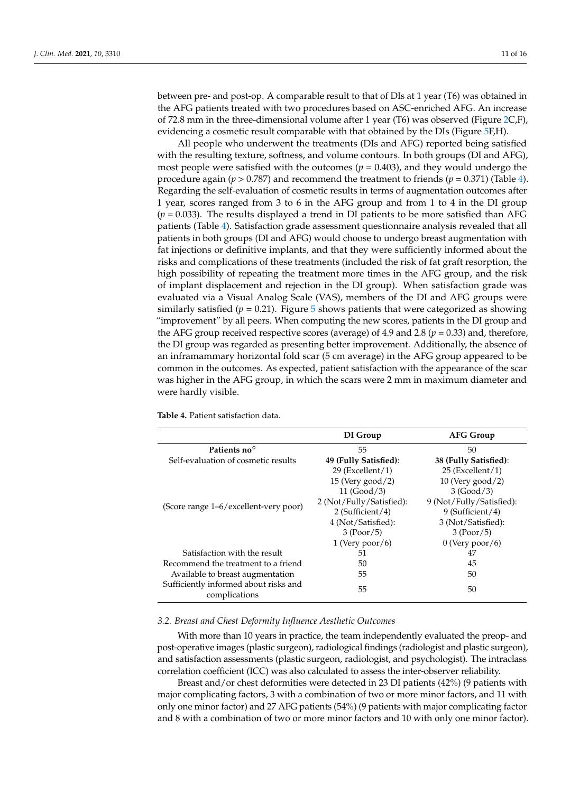between pre- and post-op. A comparable result to that of DIs at 1 year (T6) was obtained in the AFG patients treated with two procedures based on ASC-enriched AFG. An increase of 72.8 mm in the three-dimensional volume after 1 year (T6) was observed (Figure [2C](#page-3-0),F), evidencing a cosmetic result comparable with that obtained by the DIs (Figure [5F](#page-9-0),H).

All people who underwent the treatments (DIs and AFG) reported being satisfied with the resulting texture, softness, and volume contours. In both groups (DI and AFG), most people were satisfied with the outcomes  $(p = 0.403)$ , and they would undergo the procedure again ( $p > 0.787$ ) and recommend the treatment to friends ( $p = 0.371$ ) (Table [4\)](#page-10-0). Regarding the self-evaluation of cosmetic results in terms of augmentation outcomes after 1 year, scores ranged from 3 to 6 in the AFG group and from 1 to 4 in the DI group  $(p = 0.033)$ . The results displayed a trend in DI patients to be more satisfied than AFG patients (Table [4\)](#page-10-0). Satisfaction grade assessment questionnaire analysis revealed that all patients in both groups (DI and AFG) would choose to undergo breast augmentation with fat injections or definitive implants, and that they were sufficiently informed about the risks and complications of these treatments (included the risk of fat graft resorption, the high possibility of repeating the treatment more times in the AFG group, and the risk of implant displacement and rejection in the DI group). When satisfaction grade was evaluated via a Visual Analog Scale (VAS), members of the DI and AFG groups were similarly satisfied  $(p = 0.21)$ . Figure [5](#page-9-0) shows patients that were categorized as showing "improvement" by all peers. When computing the new scores, patients in the DI group and the AFG group received respective scores (average) of 4.9 and 2.8 ( $p = 0.33$ ) and, therefore, the DI group was regarded as presenting better improvement. Additionally, the absence of an inframammary horizontal fold scar (5 cm average) in the AFG group appeared to be common in the outcomes. As expected, patient satisfaction with the appearance of the scar was higher in the AFG group, in which the scars were 2 mm in maximum diameter and were hardly visible.

|                                                        | DI Group                 | <b>AFG Group</b>         |
|--------------------------------------------------------|--------------------------|--------------------------|
| Patients no <sup>o</sup>                               | 55                       | 50                       |
| Self-evaluation of cosmetic results                    | 49 (Fully Satisfied):    | 38 (Fully Satisfied):    |
|                                                        | $29$ (Excellent/1)       | $25$ (Excellent/1)       |
|                                                        | $15$ (Very good/2)       | $10$ (Very good/2)       |
|                                                        | 11(Good/3)               | 3 (Good/3)               |
|                                                        | 2 (Not/Fully/Satisfied): | 9 (Not/Fully/Satisfied): |
| (Score range 1–6/excellent-very poor)                  | 2 (Sufficient/4)         | 9 (Sufficient/4)         |
|                                                        | 4 (Not/Satisfied):       | 3 (Not/Satisfied):       |
|                                                        | 3 (Poor/5)               | 3 (Poor/5)               |
|                                                        | $1$ (Very poor/6)        | $0$ (Very poor/6)        |
| Satisfaction with the result                           | 51                       | 47                       |
| Recommend the treatment to a friend                    | 50                       | 45                       |
| Available to breast augmentation                       | 55                       | 50                       |
| Sufficiently informed about risks and<br>complications | 55                       | 50                       |

<span id="page-10-0"></span>**Table 4.** Patient satisfaction data.

# *3.2. Breast and Chest Deformity Influence Aesthetic Outcomes*

With more than 10 years in practice, the team independently evaluated the preop- and post-operative images (plastic surgeon), radiological findings (radiologist and plastic surgeon), and satisfaction assessments (plastic surgeon, radiologist, and psychologist). The intraclass correlation coefficient (ICC) was also calculated to assess the inter-observer reliability.

Breast and/or chest deformities were detected in 23 DI patients (42%) (9 patients with major complicating factors, 3 with a combination of two or more minor factors, and 11 with only one minor factor) and 27 AFG patients (54%) (9 patients with major complicating factor and 8 with a combination of two or more minor factors and 10 with only one minor factor).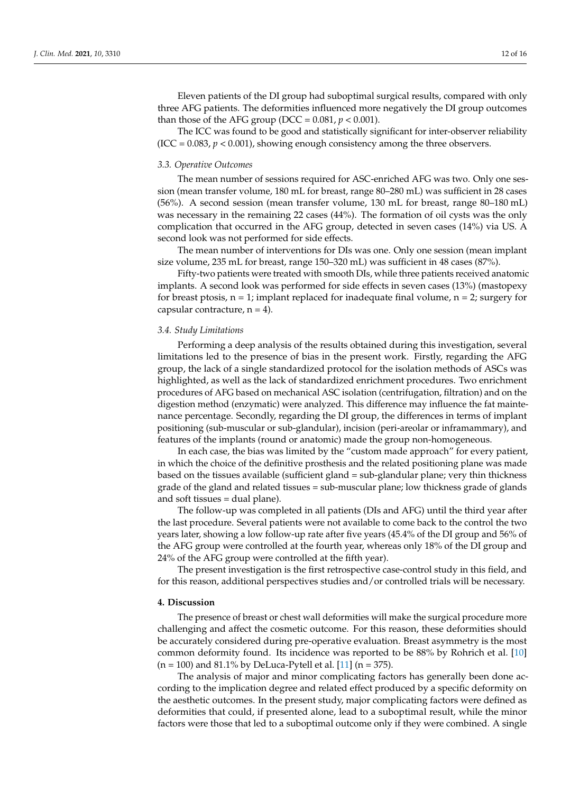Eleven patients of the DI group had suboptimal surgical results, compared with only three AFG patients. The deformities influenced more negatively the DI group outcomes than those of the AFG group (DCC =  $0.081$ ,  $p < 0.001$ ).

The ICC was found to be good and statistically significant for inter-observer reliability  $(ICC = 0.083, p < 0.001)$ , showing enough consistency among the three observers.

## *3.3. Operative Outcomes*

The mean number of sessions required for ASC-enriched AFG was two. Only one session (mean transfer volume, 180 mL for breast, range 80–280 mL) was sufficient in 28 cases (56%). A second session (mean transfer volume, 130 mL for breast, range 80–180 mL) was necessary in the remaining 22 cases (44%). The formation of oil cysts was the only complication that occurred in the AFG group, detected in seven cases (14%) via US. A second look was not performed for side effects.

The mean number of interventions for DIs was one. Only one session (mean implant size volume, 235 mL for breast, range 150–320 mL) was sufficient in 48 cases (87%).

Fifty-two patients were treated with smooth DIs, while three patients received anatomic implants. A second look was performed for side effects in seven cases (13%) (mastopexy for breast ptosis,  $n = 1$ ; implant replaced for inadequate final volume,  $n = 2$ ; surgery for capsular contracture,  $n = 4$ ).

#### *3.4. Study Limitations*

Performing a deep analysis of the results obtained during this investigation, several limitations led to the presence of bias in the present work. Firstly, regarding the AFG group, the lack of a single standardized protocol for the isolation methods of ASCs was highlighted, as well as the lack of standardized enrichment procedures. Two enrichment procedures of AFG based on mechanical ASC isolation (centrifugation, filtration) and on the digestion method (enzymatic) were analyzed. This difference may influence the fat maintenance percentage. Secondly, regarding the DI group, the differences in terms of implant positioning (sub-muscular or sub-glandular), incision (peri-areolar or inframammary), and features of the implants (round or anatomic) made the group non-homogeneous.

In each case, the bias was limited by the "custom made approach" for every patient, in which the choice of the definitive prosthesis and the related positioning plane was made based on the tissues available (sufficient gland = sub-glandular plane; very thin thickness grade of the gland and related tissues = sub-muscular plane; low thickness grade of glands and soft tissues = dual plane).

The follow-up was completed in all patients (DIs and AFG) until the third year after the last procedure. Several patients were not available to come back to the control the two years later, showing a low follow-up rate after five years (45.4% of the DI group and 56% of the AFG group were controlled at the fourth year, whereas only 18% of the DI group and 24% of the AFG group were controlled at the fifth year).

The present investigation is the first retrospective case-control study in this field, and for this reason, additional perspectives studies and/or controlled trials will be necessary.

# **4. Discussion**

The presence of breast or chest wall deformities will make the surgical procedure more challenging and affect the cosmetic outcome. For this reason, these deformities should be accurately considered during pre-operative evaluation. Breast asymmetry is the most common deformity found. Its incidence was reported to be 88% by Rohrich et al. [\[10\]](#page-14-9)  $(n = 100)$  and 81.1% by DeLuca-Pytell et al. [\[11\]](#page-14-10)  $(n = 375)$ .

The analysis of major and minor complicating factors has generally been done according to the implication degree and related effect produced by a specific deformity on the aesthetic outcomes. In the present study, major complicating factors were defined as deformities that could, if presented alone, lead to a suboptimal result, while the minor factors were those that led to a suboptimal outcome only if they were combined. A single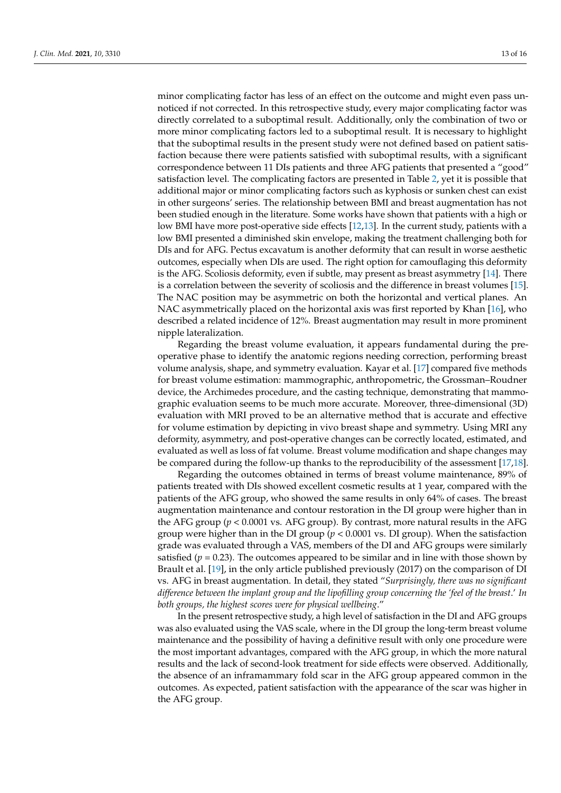minor complicating factor has less of an effect on the outcome and might even pass unnoticed if not corrected. In this retrospective study, every major complicating factor was directly correlated to a suboptimal result. Additionally, only the combination of two or more minor complicating factors led to a suboptimal result. It is necessary to highlight that the suboptimal results in the present study were not defined based on patient satisfaction because there were patients satisfied with suboptimal results, with a significant correspondence between 11 DIs patients and three AFG patients that presented a "good" satisfaction level. The complicating factors are presented in Table [2,](#page-6-0) yet it is possible that additional major or minor complicating factors such as kyphosis or sunken chest can exist in other surgeons' series. The relationship between BMI and breast augmentation has not been studied enough in the literature. Some works have shown that patients with a high or low BMI have more post-operative side effects [\[12](#page-14-11)[,13\]](#page-14-12). In the current study, patients with a low BMI presented a diminished skin envelope, making the treatment challenging both for DIs and for AFG. Pectus excavatum is another deformity that can result in worse aesthetic outcomes, especially when DIs are used. The right option for camouflaging this deformity is the AFG. Scoliosis deformity, even if subtle, may present as breast asymmetry [\[14\]](#page-14-13). There is a correlation between the severity of scoliosis and the difference in breast volumes [\[15\]](#page-14-14). The NAC position may be asymmetric on both the horizontal and vertical planes. An NAC asymmetrically placed on the horizontal axis was first reported by Khan [\[16\]](#page-14-15), who described a related incidence of 12%. Breast augmentation may result in more prominent nipple lateralization.

Regarding the breast volume evaluation, it appears fundamental during the preoperative phase to identify the anatomic regions needing correction, performing breast volume analysis, shape, and symmetry evaluation. Kayar et al. [\[17\]](#page-15-0) compared five methods for breast volume estimation: mammographic, anthropometric, the Grossman–Roudner device, the Archimedes procedure, and the casting technique, demonstrating that mammographic evaluation seems to be much more accurate. Moreover, three-dimensional (3D) evaluation with MRI proved to be an alternative method that is accurate and effective for volume estimation by depicting in vivo breast shape and symmetry. Using MRI any deformity, asymmetry, and post-operative changes can be correctly located, estimated, and evaluated as well as loss of fat volume. Breast volume modification and shape changes may be compared during the follow-up thanks to the reproducibility of the assessment [\[17,](#page-15-0)[18\]](#page-15-1).

Regarding the outcomes obtained in terms of breast volume maintenance, 89% of patients treated with DIs showed excellent cosmetic results at 1 year, compared with the patients of the AFG group, who showed the same results in only 64% of cases. The breast augmentation maintenance and contour restoration in the DI group were higher than in the AFG group  $(p < 0.0001$  vs. AFG group). By contrast, more natural results in the AFG group were higher than in the DI group  $(p < 0.0001$  vs. DI group). When the satisfaction grade was evaluated through a VAS, members of the DI and AFG groups were similarly satisfied ( $p = 0.23$ ). The outcomes appeared to be similar and in line with those shown by Brault et al. [\[19\]](#page-15-2), in the only article published previously (2017) on the comparison of DI vs. AFG in breast augmentation. In detail, they stated "*Surprisingly, there was no significant difference between the implant group and the lipofilling group concerning the 'feel of the breast*.' *In both groups, the highest scores were for physical wellbeing*."

In the present retrospective study, a high level of satisfaction in the DI and AFG groups was also evaluated using the VAS scale, where in the DI group the long-term breast volume maintenance and the possibility of having a definitive result with only one procedure were the most important advantages, compared with the AFG group, in which the more natural results and the lack of second-look treatment for side effects were observed. Additionally, the absence of an inframammary fold scar in the AFG group appeared common in the outcomes. As expected, patient satisfaction with the appearance of the scar was higher in the AFG group.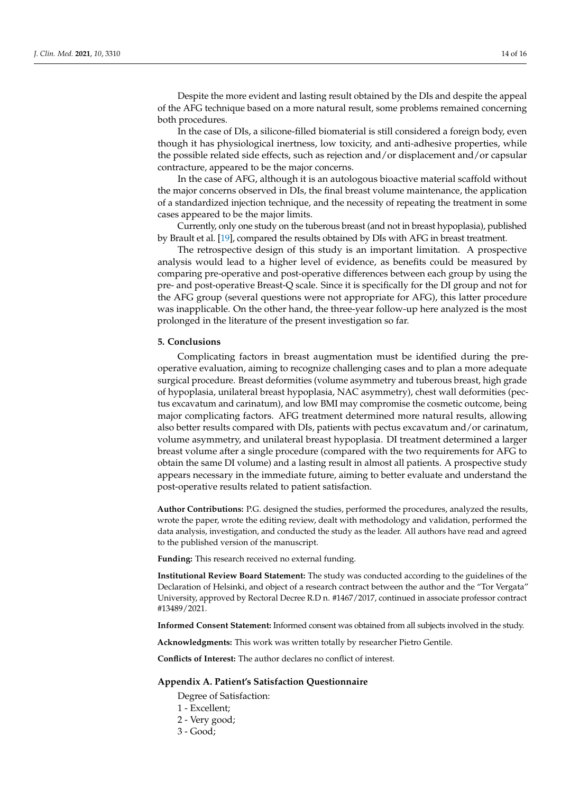Despite the more evident and lasting result obtained by the DIs and despite the appeal of the AFG technique based on a more natural result, some problems remained concerning both procedures.

In the case of DIs, a silicone-filled biomaterial is still considered a foreign body, even though it has physiological inertness, low toxicity, and anti-adhesive properties, while the possible related side effects, such as rejection and/or displacement and/or capsular contracture, appeared to be the major concerns.

In the case of AFG, although it is an autologous bioactive material scaffold without the major concerns observed in DIs, the final breast volume maintenance, the application of a standardized injection technique, and the necessity of repeating the treatment in some cases appeared to be the major limits.

Currently, only one study on the tuberous breast (and not in breast hypoplasia), published by Brault et al. [\[19\]](#page-15-2), compared the results obtained by DIs with AFG in breast treatment.

The retrospective design of this study is an important limitation. A prospective analysis would lead to a higher level of evidence, as benefits could be measured by comparing pre-operative and post-operative differences between each group by using the pre- and post-operative Breast-Q scale. Since it is specifically for the DI group and not for the AFG group (several questions were not appropriate for AFG), this latter procedure was inapplicable. On the other hand, the three-year follow-up here analyzed is the most prolonged in the literature of the present investigation so far.

#### **5. Conclusions**

Complicating factors in breast augmentation must be identified during the preoperative evaluation, aiming to recognize challenging cases and to plan a more adequate surgical procedure. Breast deformities (volume asymmetry and tuberous breast, high grade of hypoplasia, unilateral breast hypoplasia, NAC asymmetry), chest wall deformities (pectus excavatum and carinatum), and low BMI may compromise the cosmetic outcome, being major complicating factors. AFG treatment determined more natural results, allowing also better results compared with DIs, patients with pectus excavatum and/or carinatum, volume asymmetry, and unilateral breast hypoplasia. DI treatment determined a larger breast volume after a single procedure (compared with the two requirements for AFG to obtain the same DI volume) and a lasting result in almost all patients. A prospective study appears necessary in the immediate future, aiming to better evaluate and understand the post-operative results related to patient satisfaction.

**Author Contributions:** P.G. designed the studies, performed the procedures, analyzed the results, wrote the paper, wrote the editing review, dealt with methodology and validation, performed the data analysis, investigation, and conducted the study as the leader. All authors have read and agreed to the published version of the manuscript.

**Funding:** This research received no external funding.

**Institutional Review Board Statement:** The study was conducted according to the guidelines of the Declaration of Helsinki, and object of a research contract between the author and the "Tor Vergata" University, approved by Rectoral Decree R.D n. #1467/2017, continued in associate professor contract #13489/2021.

**Informed Consent Statement:** Informed consent was obtained from all subjects involved in the study.

**Acknowledgments:** This work was written totally by researcher Pietro Gentile.

**Conflicts of Interest:** The author declares no conflict of interest.

#### <span id="page-13-0"></span>**Appendix A. Patient's Satisfaction Questionnaire**

Degree of Satisfaction:

- 1 Excellent;
- 2 Very good;
- 3 Good;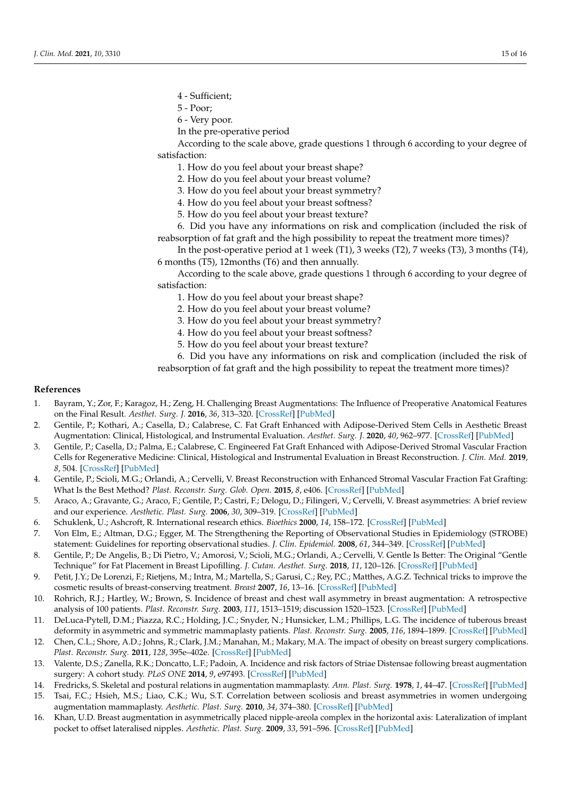- 4 Sufficient;
- 5 Poor;
- 6 Very poor.
- In the pre-operative period

According to the scale above, grade questions 1 through 6 according to your degree of satisfaction:

- 1. How do you feel about your breast shape?
- 2. How do you feel about your breast volume?
- 3. How do you feel about your breast symmetry?
- 4. How do you feel about your breast softness?
- 5. How do you feel about your breast texture?

6. Did you have any informations on risk and complication (included the risk of reabsorption of fat graft and the high possibility to repeat the treatment more times)?

In the post-operative period at 1 week (T1), 3 weeks (T2), 7 weeks (T3), 3 months (T4), 6 months (T5), 12months (T6) and then annually.

According to the scale above, grade questions 1 through 6 according to your degree of satisfaction:

1. How do you feel about your breast shape?

- 2. How do you feel about your breast volume?
- 3. How do you feel about your breast symmetry?
- 4. How do you feel about your breast softness?
- 5. How do you feel about your breast texture?

6. Did you have any informations on risk and complication (included the risk of reabsorption of fat graft and the high possibility to repeat the treatment more times)?

## **References**

- <span id="page-14-0"></span>1. Bayram, Y.; Zor, F.; Karagoz, H.; Zeng, H. Challenging Breast Augmentations: The Influence of Preoperative Anatomical Features on the Final Result. *Aesthet. Surg. J.* **2016**, *36*, 313–320. [\[CrossRef\]](http://doi.org/10.1093/asj/sjv181) [\[PubMed\]](http://www.ncbi.nlm.nih.gov/pubmed/26420774)
- <span id="page-14-1"></span>2. Gentile, P.; Kothari, A.; Casella, D.; Calabrese, C. Fat Graft Enhanced with Adipose-Derived Stem Cells in Aesthetic Breast Augmentation: Clinical, Histological, and Instrumental Evaluation. *Aesthet. Surg. J.* **2020**, *40*, 962–977. [\[CrossRef\]](http://doi.org/10.1093/asj/sjz292) [\[PubMed\]](http://www.ncbi.nlm.nih.gov/pubmed/31637416)
- <span id="page-14-2"></span>3. Gentile, P.; Casella, D.; Palma, E.; Calabrese, C. Engineered Fat Graft Enhanced with Adipose-Derived Stromal Vascular Fraction Cells for Regenerative Medicine: Clinical, Histological and Instrumental Evaluation in Breast Reconstruction. *J. Clin. Med.* **2019**, *8*, 504. [\[CrossRef\]](http://doi.org/10.3390/jcm8040504) [\[PubMed\]](http://www.ncbi.nlm.nih.gov/pubmed/31013744)
- <span id="page-14-3"></span>4. Gentile, P.; Scioli, M.G.; Orlandi, A.; Cervelli, V. Breast Reconstruction with Enhanced Stromal Vascular Fraction Fat Grafting: What Is the Best Method? *Plast. Reconstr. Surg. Glob. Open.* **2015**, *8*, e406. [\[CrossRef\]](http://doi.org/10.1097/GOX.0000000000000285) [\[PubMed\]](http://www.ncbi.nlm.nih.gov/pubmed/26180707)
- <span id="page-14-4"></span>5. Araco, A.; Gravante, G.; Araco, F.; Gentile, P.; Castri, F.; Delogu, D.; Filingeri, V.; Cervelli, V. Breast asymmetries: A brief review and our experience. *Aesthetic. Plast. Surg.* **2006**, *30*, 309–319. [\[CrossRef\]](http://doi.org/10.1007/s00266-005-0178-x) [\[PubMed\]](http://www.ncbi.nlm.nih.gov/pubmed/16733775)
- <span id="page-14-5"></span>6. Schuklenk, U.; Ashcroft, R. International research ethics. *Bioethics* **2000**, *14*, 158–172. [\[CrossRef\]](http://doi.org/10.1111/1467-8519.00187) [\[PubMed\]](http://www.ncbi.nlm.nih.gov/pubmed/11765763)
- <span id="page-14-6"></span>7. Von Elm, E.; Altman, D.G.; Egger, M. The Strengthening the Reporting of Observational Studies in Epidemiology (STROBE) statement: Guidelines for reporting observational studies. *J. Clin. Epidemiol.* **2008**, *61*, 344–349. [\[CrossRef\]](http://doi.org/10.1016/j.jclinepi.2007.11.008) [\[PubMed\]](http://www.ncbi.nlm.nih.gov/pubmed/18313558)
- <span id="page-14-7"></span>8. Gentile, P.; De Angelis, B.; Di Pietro, V.; Amorosi, V.; Scioli, M.G.; Orlandi, A.; Cervelli, V. Gentle Is Better: The Original "Gentle Technique" for Fat Placement in Breast Lipofilling. *J. Cutan. Aesthet. Surg.* **2018**, *11*, 120–126. [\[CrossRef\]](http://doi.org/10.4103/JCAS.JCAS_24_18) [\[PubMed\]](http://www.ncbi.nlm.nih.gov/pubmed/30533985)
- <span id="page-14-8"></span>9. Petit, J.Y.; De Lorenzi, F.; Rietjens, M.; Intra, M.; Martella, S.; Garusi, C.; Rey, P.C.; Matthes, A.G.Z. Technical tricks to improve the cosmetic results of breast-conserving treatment. *Breast* **2007**, *16*, 13–16. [\[CrossRef\]](http://doi.org/10.1016/j.breast.2006.08.004) [\[PubMed\]](http://www.ncbi.nlm.nih.gov/pubmed/17070051)
- <span id="page-14-9"></span>10. Rohrich, R.J.; Hartley, W.; Brown, S. Incidence of breast and chest wall asymmetry in breast augmentation: A retrospective analysis of 100 patients. *Plast. Reconstr. Surg.* **2003**, *111*, 1513–1519; discussion 1520–1523. [\[CrossRef\]](http://doi.org/10.1097/01.PRS.0000049636.17522.1B) [\[PubMed\]](http://www.ncbi.nlm.nih.gov/pubmed/12618613)
- <span id="page-14-10"></span>11. DeLuca-Pytell, D.M.; Piazza, R.C.; Holding, J.C.; Snyder, N.; Hunsicker, L.M.; Phillips, L.G. The incidence of tuberous breast deformity in asymmetric and symmetric mammaplasty patients. *Plast. Reconstr. Surg.* **2005**, *116*, 1894–1899. [\[CrossRef\]](http://doi.org/10.1097/01.prs.0000189206.94466.a9) [\[PubMed\]](http://www.ncbi.nlm.nih.gov/pubmed/16327600)
- <span id="page-14-11"></span>12. Chen, C.L.; Shore, A.D.; Johns, R.; Clark, J.M.; Manahan, M.; Makary, M.A. The impact of obesity on breast surgery complications. *Plast. Reconstr. Surg.* **2011**, *128*, 395e–402e. [\[CrossRef\]](http://doi.org/10.1097/PRS.0b013e3182284c05) [\[PubMed\]](http://www.ncbi.nlm.nih.gov/pubmed/21666541)
- <span id="page-14-12"></span>13. Valente, D.S.; Zanella, R.K.; Doncatto, L.F.; Padoin, A. Incidence and risk factors of Striae Distensae following breast augmentation surgery: A cohort study. *PLoS ONE* **2014**, *9*, e97493. [\[CrossRef\]](http://doi.org/10.1371/journal.pone.0097493) [\[PubMed\]](http://www.ncbi.nlm.nih.gov/pubmed/24844230)
- <span id="page-14-13"></span>14. Fredricks, S. Skeletal and postural relations in augmentation mammaplasty. *Ann. Plast. Surg.* **1978**, *1*, 44–47. [\[CrossRef\]](http://doi.org/10.1097/00000637-197801000-00010) [\[PubMed\]](http://www.ncbi.nlm.nih.gov/pubmed/727652)
- <span id="page-14-14"></span>15. Tsai, F.C.; Hsieh, M.S.; Liao, C.K.; Wu, S.T. Correlation between scoliosis and breast asymmetries in women undergoing augmentation mammaplasty. *Aesthetic. Plast. Surg.* **2010**, *34*, 374–380. [\[CrossRef\]](http://doi.org/10.1007/s00266-010-9506-x) [\[PubMed\]](http://www.ncbi.nlm.nih.gov/pubmed/20383498)
- <span id="page-14-15"></span>16. Khan, U.D. Breast augmentation in asymmetrically placed nipple-areola complex in the horizontal axis: Lateralization of implant pocket to offset lateralised nipples. *Aesthetic. Plast. Surg.* **2009**, *33*, 591–596. [\[CrossRef\]](http://doi.org/10.1007/s00266-009-9324-1) [\[PubMed\]](http://www.ncbi.nlm.nih.gov/pubmed/19296149)